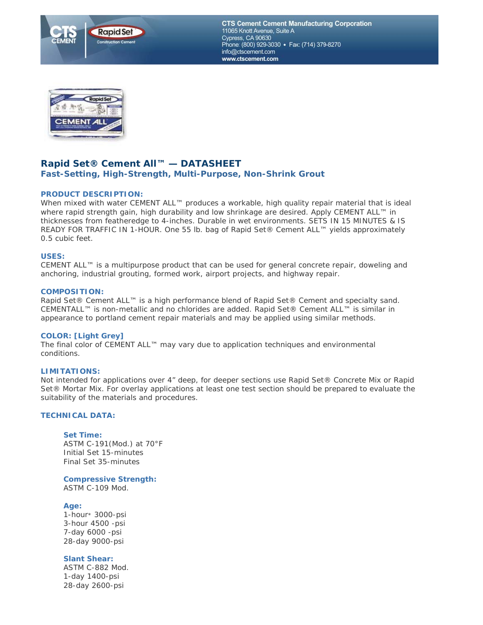

**CTS Cement Cement Manufacturing Corporation** 11065 Knott Avenue, Suite A Cypress, CA 90630 Phone: (800) 929-3030 • Fax: (714) 379-8270 info@ctscement.com www.ctscement.com



# **Rapid Set® Cement All™ — DATASHEET**

## **Fast-Setting, High-Strength, Multi-Purpose, Non-Shrink Grout**

# **PRODUCT DESCRIPTION:**

When mixed with water CEMENT ALL™ produces a workable, high quality repair material that is ideal where rapid strength gain, high durability and low shrinkage are desired. Apply CEMENT ALL™ in thicknesses from featheredge to 4-inches. Durable in wet environments. *SETS IN 15 MINUTES & IS READY FOR TRAFFIC IN 1-HOUR.* One 55 lb. bag of Rapid Set® Cement ALL™ yields approximately 0.5 cubic feet.

### **USES:**

CEMENT ALL™ is a multipurpose product that can be used for general concrete repair, doweling and anchoring, industrial grouting, formed work, airport projects, and highway repair.

### **COMPOSITION:**

Rapid Set® Cement ALL™ is a high performance blend of Rapid Set® Cement and specialty sand. CEMENTALL™ is non-metallic and no chlorides are added. Rapid Set® Cement ALL™ is similar in appearance to portland cement repair materials and may be applied using similar methods.

### **COLOR: [Light Grey]**

The final color of CEMENT ALL™ may vary due to application techniques and environmental conditions.

## **LIMITATIONS:**

Not intended for applications over 4" deep, for deeper sections use Rapid Set® Concrete Mix or Rapid Set® Mortar Mix. For overlay applications at least one test section should be prepared to evaluate the suitability of the materials and procedures.

### **TECHNICAL DATA:**

### **Set Time:**

ASTM C-191(Mod.) at 70°F Initial Set 15-minutes Final Set 35-minutes

**Compressive Strength:** ASTM C-109 Mod.

### **Age:**

1-hour\* 3000-psi 3-hour 4500 -psi 7-day 6000 -psi 28-day 9000-psi

**Slant Shear:**

ASTM C-882 Mod. 1-day 1400-psi 28-day 2600-psi